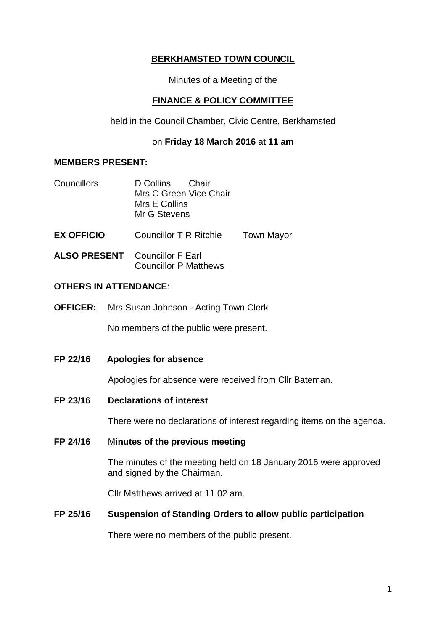# **BERKHAMSTED TOWN COUNCIL**

Minutes of a Meeting of the

## **FINANCE & POLICY COMMITTEE**

held in the Council Chamber, Civic Centre, Berkhamsted

#### on **Friday 18 March 2016** at **11 am**

## **MEMBERS PRESENT:**

| Councillors       | D Collins<br>– Chair<br>Mrs C Green Vice Chair<br>Mrs E Collins<br>Mr G Stevens |                   |
|-------------------|---------------------------------------------------------------------------------|-------------------|
| <b>EX OFFICIO</b> | Councillor T R Ritchie                                                          | <b>Town Mayor</b> |

**ALSO PRESENT** Councillor F Earl Councillor P Matthews

#### **OTHERS IN ATTENDANCE**:

**OFFICER:** Mrs Susan Johnson - Acting Town Clerk

No members of the public were present.

**FP 22/16 Apologies for absence**

Apologies for absence were received from Cllr Bateman.

**FP 23/16 Declarations of interest**

There were no declarations of interest regarding items on the agenda.

**FP 24/16** M**inutes of the previous meeting**

The minutes of the meeting held on 18 January 2016 were approved and signed by the Chairman.

Cllr Matthews arrived at 11.02 am.

## **FP 25/16 Suspension of Standing Orders to allow public participation**

There were no members of the public present.